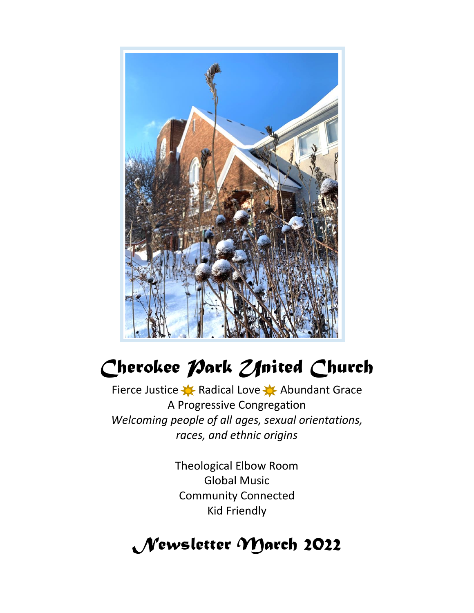

# Cherokee *Park Zfrited* Church

Fierce Justice  $\blacklozenge$  Radical Love  $\blacklozenge$  Abundant Grace A Progressive Congregation *Welcoming people of all ages, sexual orientations, races, and ethnic origins*

> Theological Elbow Room Global Music Community Connected Kid Friendly

# *Newsletter March 2022*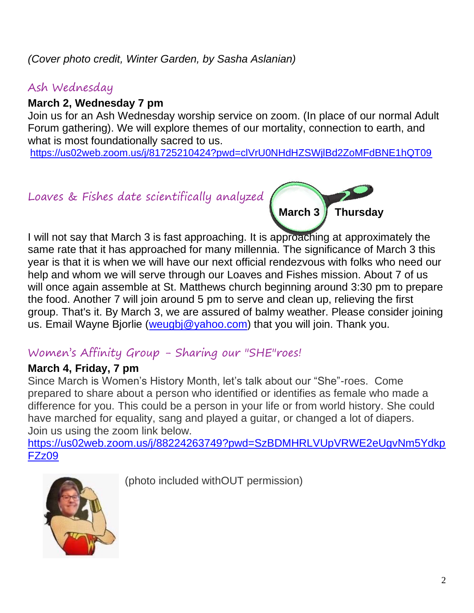#### *(Cover photo credit, Winter Garden, by Sasha Aslanian)*

#### Ash Wednesday

#### **March 2, Wednesday 7 pm**

Join us for an Ash Wednesday worship service on zoom. (In place of our normal Adult Forum gathering). We will explore themes of our mortality, connection to earth, and what is most foundationally sacred to us.

<https://us02web.zoom.us/j/81725210424?pwd=clVrU0NHdHZSWjlBd2ZoMFdBNE1hQT09>

Loaves & Fishes date scientifically analyzed



I will not say that March 3 is fast approaching. It is approaching at approximately the same rate that it has approached for many millennia. The significance of March 3 this year is that it is when we will have our next official rendezvous with folks who need our help and whom we will serve through our Loaves and Fishes mission. About 7 of us will once again assemble at St. Matthews church beginning around 3:30 pm to prepare the food. Another 7 will join around 5 pm to serve and clean up, relieving the first group. That's it. By March 3, we are assured of balmy weather. Please consider joining us. Email Wayne Bjorlie [\(weugbj@yahoo.com\)](mailto:weugbj@yahoo.com) that you will join. Thank you.

#### Women's Affinity Group - Sharing our "SHE"roes!

#### **March 4, Friday, 7 pm**

Since March is Women's History Month, let's talk about our "She"-roes. Come prepared to share about a person who identified or identifies as female who made a difference for you. This could be a person in your life or from world history. She could have marched for equality, sang and played a guitar, or changed a lot of diapers. Join us using the zoom link below.

[https://us02web.zoom.us/j/88224263749?pwd=SzBDMHRLVUpVRWE2eUgvNm5Ydkp](https://us02web.zoom.us/j/88224263749?pwd=SzBDMHRLVUpVRWE2eUgvNm5YdkpFZz09) [FZz09](https://us02web.zoom.us/j/88224263749?pwd=SzBDMHRLVUpVRWE2eUgvNm5YdkpFZz09)



(photo included withOUT permission)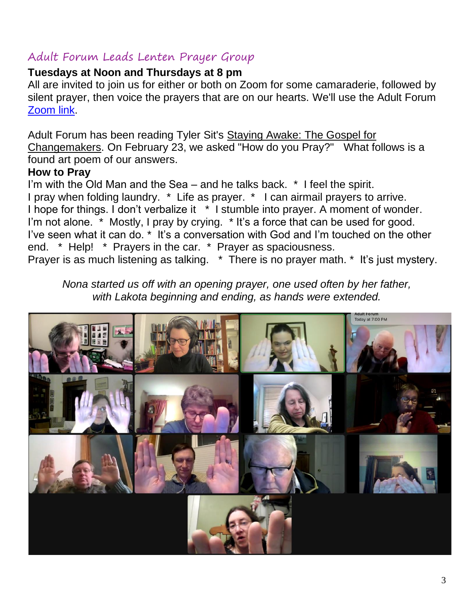#### Adult Forum Leads Lenten Prayer Group

#### **Tuesdays at Noon and Thursdays at 8 pm**

All are invited to join us for either or both on Zoom for some camaraderie, followed by silent prayer, then voice the prayers that are on our hearts. We'll use the Adult Forum [Zoom link.](https://us02web.zoom.us/j/81725210424?pwd=clVrU0NHdHZSWjlBd2ZoMFdBNE1hQT09)

Adult Forum has been reading Tyler Sit's Staying Awake: The Gospel for Changemakers. On February 23, we asked "How do you Pray?" What follows is a found art poem of our answers.

#### **How to Pray**

I'm with the Old Man and the Sea – and he talks back. \* I feel the spirit. I pray when folding laundry. \* Life as prayer. \* I can airmail prayers to arrive. I hope for things. I don't verbalize it \* I stumble into prayer. A moment of wonder. I'm not alone. \* Mostly, I pray by crying. \* It's a force that can be used for good. I've seen what it can do. \* It's a conversation with God and I'm touched on the other end. \* Help! \* Prayers in the car. \* Prayer as spaciousness. Prayer is as much listening as talking. \* There is no prayer math. \* It's just mystery.

*Nona started us off with an opening prayer, one used often by her father, with Lakota beginning and ending, as hands were extended.*

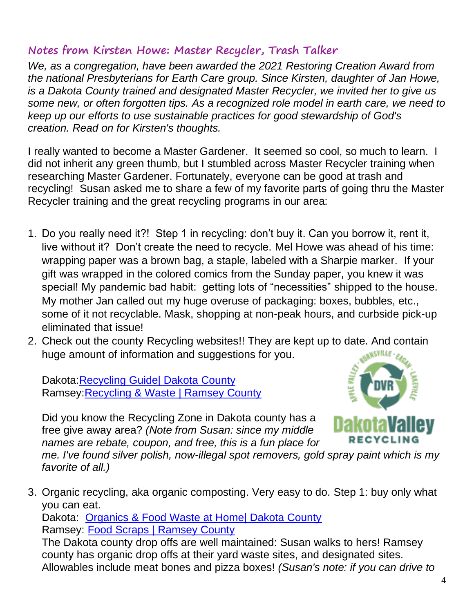#### **Notes from Kirsten Howe: Master Recycler, Trash Talker**

*We, as a congregation, have been awarded the 2021 Restoring Creation Award from the national Presbyterians for Earth Care group. Since Kirsten, daughter of Jan Howe, is a Dakota County trained and designated Master Recycler, we invited her to give us some new, or often forgotten tips. As a recognized role model in earth care, we need to keep up our efforts to use sustainable practices for good stewardship of God's creation. Read on for Kirsten's thoughts.*

I really wanted to become a Master Gardener. It seemed so cool, so much to learn. I did not inherit any green thumb, but I stumbled across Master Recycler training when researching Master Gardener. Fortunately, everyone can be good at trash and recycling! Susan asked me to share a few of my favorite parts of going thru the Master Recycler training and the great recycling programs in our area:

- 1. Do you really need it?! Step 1 in recycling: don't buy it. Can you borrow it, rent it, live without it? Don't create the need to recycle. Mel Howe was ahead of his time: wrapping paper was a brown bag, a staple, labeled with a Sharpie marker. If your gift was wrapped in the colored comics from the Sunday paper, you knew it was special! My pandemic bad habit: getting lots of "necessities" shipped to the house. My mother Jan called out my huge overuse of packaging: boxes, bubbles, etc., some of it not recyclable. Mask, shopping at non-peak hours, and curbside pick-up eliminated that issue!
- 2. Check out the county Recycling websites!! They are kept up to date. And contain huge amount of information and suggestions for you.

Dakota[:Recycling Guide| Dakota County](https://www.co.dakota.mn.us/Environment/RecyclingDisposalGuide/Pages/default.aspx)  Ramsey[:Recycling & Waste | Ramsey County](https://www.ramseycounty.us/residents/recycling-waste)

Did you know the Recycling Zone in Dakota county has a free give away area? *(Note from Susan: since my middle names are rebate, coupon, and free, this is a fun place for* 



*me. I've found silver polish, now-illegal spot removers, gold spray paint which is my favorite of all.)*

3. Organic recycling, aka organic composting. Very easy to do. Step 1: buy only what you can eat. Dakota: [Organics & Food Waste at Home| Dakota County](https://www.co.dakota.mn.us/Environment/Residential/Organics/Pages/default.aspx) Ramsey: [Food Scraps | Ramsey County](https://www.ramseycounty.us/residents/recycling-waste/collection-sites/food-scraps) The Dakota county drop offs are well maintained: Susan walks to hers! Ramsey county has organic drop offs at their yard waste sites, and designated sites. Allowables include meat bones and pizza boxes! *(Susan's note: if you can drive to*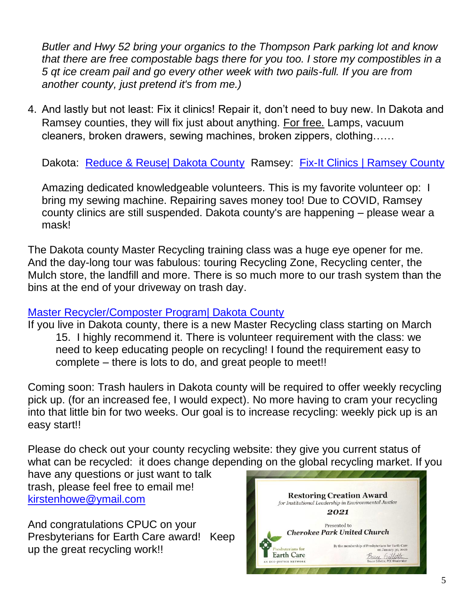*Butler and Hwy 52 bring your organics to the Thompson Park parking lot and know that there are free compostable bags there for you too. I store my compostibles in a 5 qt ice cream pail and go every other week with two pails-full. If you are from another county, just pretend it's from me.)* 

4. And lastly but not least: Fix it clinics! Repair it, don't need to buy new. In Dakota and Ramsey counties, they will fix just about anything. For free. Lamps, vacuum cleaners, broken drawers, sewing machines, broken zippers, clothing……

Dakota: [Reduce & Reuse| Dakota County](https://www.co.dakota.mn.us/Environment/Residential/Reduce/Pages/fix-repair.aspx) Ramsey: Fix-It Clinics | Ramsey County

Amazing dedicated knowledgeable volunteers. This is my favorite volunteer op: I bring my sewing machine. Repairing saves money too! Due to COVID, Ramsey county clinics are still suspended. Dakota county's are happening – please wear a mask!

The Dakota county Master Recycling training class was a huge eye opener for me. And the day-long tour was fabulous: touring Recycling Zone, Recycling center, the Mulch store, the landfill and more. There is so much more to our trash system than the bins at the end of your driveway on trash day.

#### [Master Recycler/Composter Program| Dakota County](https://www.co.dakota.mn.us/Environment/EducationResources/MasterRecycler/Pages/default.aspx)

If you live in Dakota county, there is a new Master Recycling class starting on March 15. I highly recommend it. There is volunteer requirement with the class: we need to keep educating people on recycling! I found the requirement easy to complete – there is lots to do, and great people to meet!!

Coming soon: Trash haulers in Dakota county will be required to offer weekly recycling pick up. (for an increased fee, I would expect). No more having to cram your recycling into that little bin for two weeks. Our goal is to increase recycling: weekly pick up is an easy start!!

Please do check out your county recycling website: they give you current status of what can be recycled: it does change depending on the global recycling market. If you

have any questions or just want to talk trash, please feel free to email me! [kirstenhowe@ymail.com](mailto:kirstenhowe@ymail.com)

And congratulations CPUC on your Presbyterians for Earth Care award! Keep up the great recycling work!!

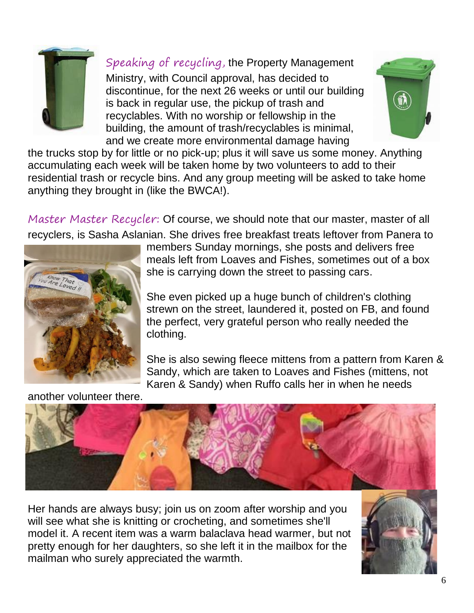

Speaking of recycling, the Property Management Ministry, with Council approval, has decided to discontinue, for the next 26 weeks or until our building is back in regular use, the pickup of trash and recyclables. With no worship or fellowship in the building, the amount of trash/recyclables is minimal, and we create more environmental damage having



the trucks stop by for little or no pick-up; plus it will save us some money. Anything accumulating each week will be taken home by two volunteers to add to their residential trash or recycle bins. And any group meeting will be asked to take home anything they brought in (like the BWCA!).

Master Master Recycler: Of course, we should note that our master, master of all recyclers, is Sasha Aslanian. She drives free breakfast treats leftover from Panera to



members Sunday mornings, she posts and delivers free meals left from Loaves and Fishes, sometimes out of a box she is carrying down the street to passing cars.

She even picked up a huge bunch of children's clothing strewn on the street, laundered it, posted on FB, and found the perfect, very grateful person who really needed the clothing.

She is also sewing fleece mittens from a pattern from Karen & Sandy, which are taken to Loaves and Fishes (mittens, not Karen & Sandy) when Ruffo calls her in when he needs

another volunteer there.



Her hands are always busy; join us on zoom after worship and you will see what she is knitting or crocheting, and sometimes she'll model it. A recent item was a warm balaclava head warmer, but not pretty enough for her daughters, so she left it in the mailbox for the mailman who surely appreciated the warmth.

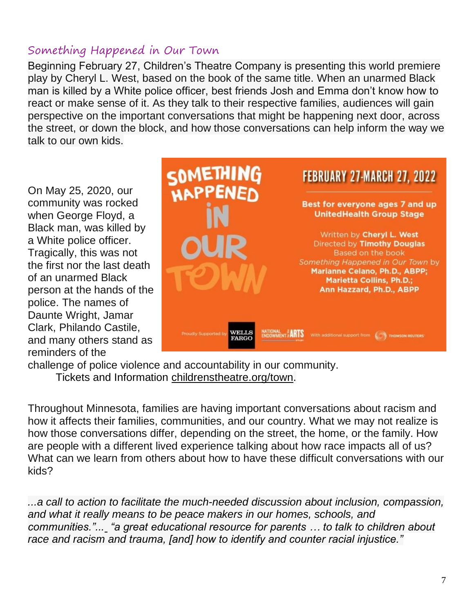#### Something Happened in Our Town

Beginning February 27, Children's Theatre Company is presenting this world premiere play by Cheryl L. West, based on the book of the same title. When an unarmed Black man is killed by a White police officer, best friends Josh and Emma don't know how to react or make sense of it. As they talk to their respective families, audiences will gain perspective on the important conversations that might be happening next door, across the street, or down the block, and how those conversations can help inform the way we talk to our own kids.

On May 25, 2020, our community was rocked when George Floyd, a Black man, was killed by a White police officer. Tragically, this was not the first nor the last death of an unarmed Black person at the hands of the police. The names of Daunte Wright, Jamar Clark, Philando Castile, and many others stand as reminders of the



challenge of police violence and accountability in our community. Tickets and Information [childrenstheatre.org/town.](http://childrenstheatre.org/town)

Throughout Minnesota, families are having important conversations about racism and how it affects their families, communities, and our country. What we may not realize is how those conversations differ, depending on the street, the home, or the family. How are people with a different lived experience talking about how race impacts all of us? What can we learn from others about how to have these difficult conversations with our kids?

*...a call to action to facilitate the much-needed discussion about inclusion, compassion, and what it really means to be peace makers in our homes, schools, and communities."... "a great educational resource for parents … to talk to children about race and racism and trauma, [and] how to identify and counter racial injustice."*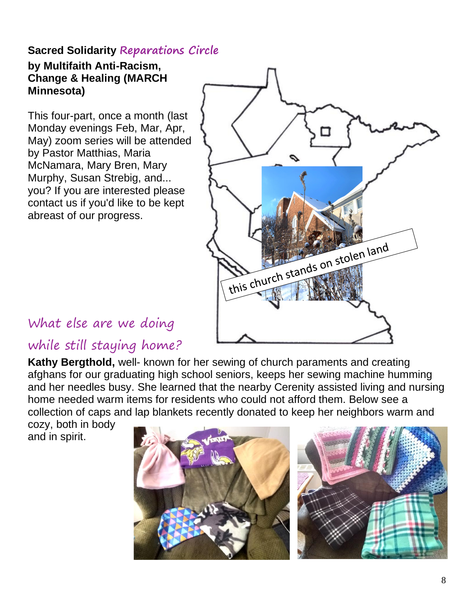#### **Sacred Solidarity Reparations Circle**

#### **by Multifaith Anti-Racism, Change & Healing (MARCH Minnesota)**

This four-part, once a month (last Monday evenings Feb, Mar, Apr, May) zoom series will be attended by Pastor Matthias, Maria McNamara, Mary Bren, Mary Murphy, Susan Strebig, and... you? If you are interested please contact us if you'd like to be kept abreast of our progress.



# What else are we doing

# while still staying home?

**Kathy Bergthold,** well- known for her sewing of church paraments and creating afghans for our graduating high school seniors, keeps her sewing machine humming and her needles busy. She learned that the nearby Cerenity assisted living and nursing home needed warm items for residents who could not afford them. Below see a collection of caps and lap blankets recently donated to keep her neighbors warm and

cozy, both in body and in spirit.

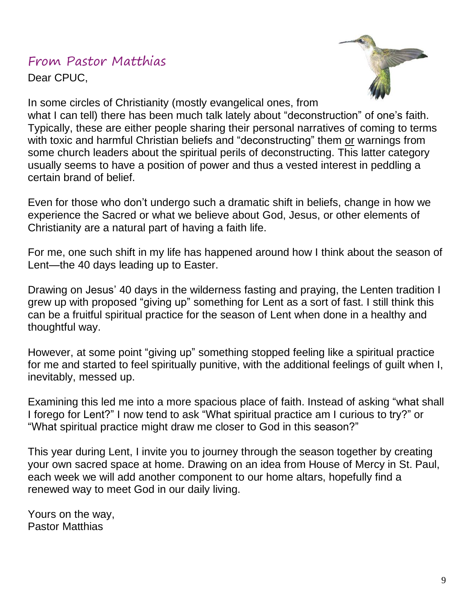### From Pastor Matthias

Dear CPUC,



In some circles of Christianity (mostly evangelical ones, from

what I can tell) there has been much talk lately about "deconstruction" of one's faith. Typically, these are either people sharing their personal narratives of coming to terms with toxic and harmful Christian beliefs and "deconstructing" them or warnings from some church leaders about the spiritual perils of deconstructing. This latter category usually seems to have a position of power and thus a vested interest in peddling a certain brand of belief.

Even for those who don't undergo such a dramatic shift in beliefs, change in how we experience the Sacred or what we believe about God, Jesus, or other elements of Christianity are a natural part of having a faith life.

For me, one such shift in my life has happened around how I think about the season of Lent—the 40 days leading up to Easter.

Drawing on Jesus' 40 days in the wilderness fasting and praying, the Lenten tradition I grew up with proposed "giving up" something for Lent as a sort of fast. I still think this can be a fruitful spiritual practice for the season of Lent when done in a healthy and thoughtful way.

However, at some point "giving up" something stopped feeling like a spiritual practice for me and started to feel spiritually punitive, with the additional feelings of guilt when I, inevitably, messed up.

Examining this led me into a more spacious place of faith. Instead of asking "what shall I forego for Lent?" I now tend to ask "What spiritual practice am I curious to try?" or "What spiritual practice might draw me closer to God in this season?"

This year during Lent, I invite you to journey through the season together by creating your own sacred space at home. Drawing on an idea from House of Mercy in St. Paul, each week we will add another component to our home altars, hopefully find a renewed way to meet God in our daily living.

Yours on the way, Pastor Matthias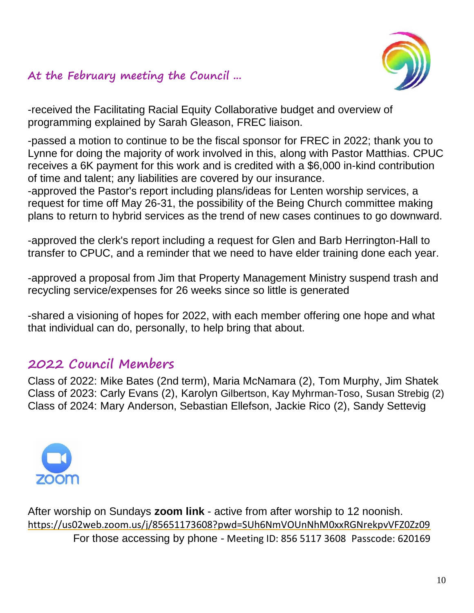#### **At the February meeting the Council ...**



-received the Facilitating Racial Equity Collaborative budget and overview of programming explained by Sarah Gleason, FREC liaison.

-passed a motion to continue to be the fiscal sponsor for FREC in 2022; thank you to Lynne for doing the majority of work involved in this, along with Pastor Matthias. CPUC receives a 6K payment for this work and is credited with a \$6,000 in-kind contribution of time and talent; any liabilities are covered by our insurance.

-approved the Pastor's report including plans/ideas for Lenten worship services, a request for time off May 26-31, the possibility of the Being Church committee making plans to return to hybrid services as the trend of new cases continues to go downward.

-approved the clerk's report including a request for Glen and Barb Herrington-Hall to transfer to CPUC, and a reminder that we need to have elder training done each year.

-approved a proposal from Jim that Property Management Ministry suspend trash and recycling service/expenses for 26 weeks since so little is generated

-shared a visioning of hopes for 2022, with each member offering one hope and what that individual can do, personally, to help bring that about.

#### **2022 Council Members**

Class of 2022: Mike Bates (2nd term), Maria McNamara (2), Tom Murphy, Jim Shatek Class of 2023: Carly Evans (2), Karolyn Gilbertson, Kay Myhrman-Toso, Susan Strebig (2) Class of 2024: Mary Anderson, Sebastian Ellefson, Jackie Rico (2), Sandy Settevig



After worship on Sundays **zoom link** - active from after worship to 12 noonish. <https://us02web.zoom.us/j/85651173608?pwd=SUh6NmVOUnNhM0xxRGNrekpvVFZ0Zz09> For those accessing by phone - Meeting ID: 856 5117 3608 Passcode: 620169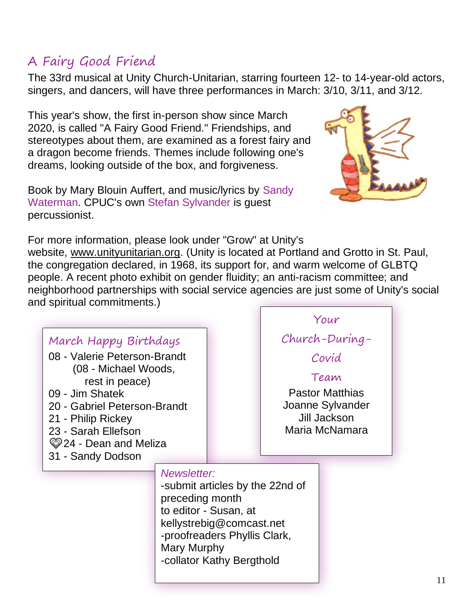# A Fairy Good Friend

The 33rd musical at Unity Church-Unitarian, starring fourteen 12- to 14-year-old actors, singers, and dancers, will have three performances in March: 3/10, 3/11, and 3/12.

This year's show, the first in-person show since March 2020, is called "A Fairy Good Friend." Friendships, and stereotypes about them, are examined as a forest fairy and a dragon become friends. Themes include following one's dreams, looking outside of the box, and forgiveness.

Book by Mary Blouin Auffert, and music/lyrics by Sandy Waterman. CPUC's own Stefan Sylvander is guest percussionist.

For more information, please look under "Grow" at Unity's website, [www.unityunitarian.org.](http://www.unityunitarian.org/) (Unity is located at Portland and Grotto in St. Paul, the congregation declared, in 1968, its support for, and warm welcome of GLBTQ people. A recent photo exhibit on gender fluidity; an anti-racism committee; and neighborhood partnerships with social service agencies are just some of Unity's social and spiritual commitments.)

|                                           |                                                                          |                          |                                 | Your |
|-------------------------------------------|--------------------------------------------------------------------------|--------------------------|---------------------------------|------|
| March Happy Birthdays                     |                                                                          |                          | Church-During-                  |      |
| 08 - Valerie Peterson-Brandt              |                                                                          |                          | Covid                           |      |
| (08 - Michael Woods,<br>rest in peace)    |                                                                          |                          | Team                            |      |
| 09 - Jim Shatek                           |                                                                          |                          | <b>Pastor Matthias</b>          |      |
| 20 - Gabriel Peterson-Brandt              |                                                                          |                          | Joanne Sylvander                |      |
| 21 - Philip Rickey<br>23 - Sarah Ellefson |                                                                          |                          | Jill Jackson<br>Maria McNamara  |      |
| 24 - Dean and Meliza                      |                                                                          |                          |                                 |      |
| 31 - Sandy Dodson                         |                                                                          |                          |                                 |      |
|                                           | Newsletter:                                                              |                          |                                 |      |
|                                           |                                                                          |                          | -submit articles by the 22nd of |      |
|                                           | preceding month<br>to editor - Susan, at                                 |                          |                                 |      |
|                                           |                                                                          | kellystrebig@comcast.net |                                 |      |
|                                           | -proofreaders Phyllis Clark,<br>Mary Murphy<br>-collator Kathy Bergthold |                          |                                 |      |
|                                           |                                                                          |                          |                                 |      |
|                                           |                                                                          |                          |                                 |      |